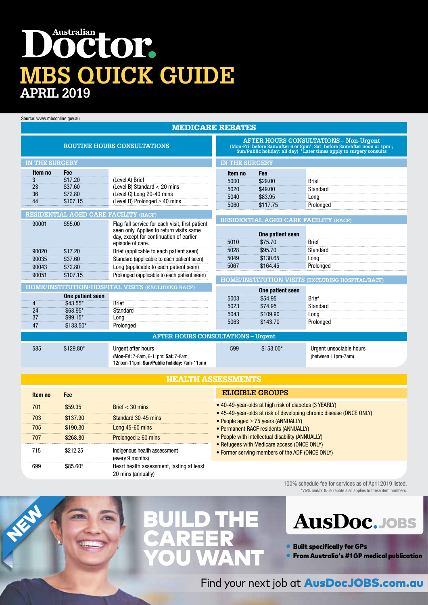## Australian petor. **MBS QUICK GUIDE APRIL 2019**

Source: www.mbsonline.gov.au

NEW

#### MEDICARE REBATES

| <b>ROUTINE HOURS CONSULTATIONS</b>           |                        |                                                                                    |                       |                                              | <b>AFTER HOURS CONSULTATIONS - Non-Urgent</b><br>(Mon-Fri: before 8am/after 6 or 8pm <sup>t</sup> ; Sat: before 8am/after noon or 1pm <sup>t</sup> ;<br>Sun/Public holiday: all day) <sup>+</sup> Later times apply to surgery consults |
|----------------------------------------------|------------------------|------------------------------------------------------------------------------------|-----------------------|----------------------------------------------|-----------------------------------------------------------------------------------------------------------------------------------------------------------------------------------------------------------------------------------------|
| <b>IN THE SURGERY</b>                        |                        |                                                                                    | <b>IN THE SURGERY</b> |                                              |                                                                                                                                                                                                                                         |
| Item no                                      | Fee                    |                                                                                    | Item no               | Fee                                          |                                                                                                                                                                                                                                         |
| $\overline{3}$                               | \$17.20                | (Level A) Brief                                                                    | 5000                  | \$29.00                                      | <b>Brief</b>                                                                                                                                                                                                                            |
| 23                                           | \$37.60                | (Level B) Standard $<$ 20 mins                                                     | 5020                  | \$49.00                                      | Standard                                                                                                                                                                                                                                |
| 36                                           | \$72.80                | (Level C) Long 20-40 mins                                                          | 5040                  | \$83.95                                      | Long                                                                                                                                                                                                                                    |
| 44                                           | \$107.15               | (Level D) Prolonged $\geq$ 40 mins                                                 | 5060                  | \$117.75                                     | Prolonged                                                                                                                                                                                                                               |
| <b>RESIDENTIAL AGED CARE FACILITY (RACF)</b> |                        |                                                                                    |                       |                                              |                                                                                                                                                                                                                                         |
| 90001                                        | \$55.00                | Flag fall service for each visit, first patient                                    |                       | <b>RESIDENTIAL AGED CARE FACILITY (RACF)</b> |                                                                                                                                                                                                                                         |
|                                              |                        | seen only. Applies to return visits same                                           |                       | One patient seen                             |                                                                                                                                                                                                                                         |
|                                              |                        | day, except for continuation of earlier                                            | 5010                  | \$75.70                                      | <b>Brief</b>                                                                                                                                                                                                                            |
| 90020                                        | \$17.20                | episode of care.<br>Brief (applicable to each patient seen)                        | 5028                  | \$95.70                                      | Standard                                                                                                                                                                                                                                |
| 90035                                        | \$37.60                | Standard (applicable to each patient seen)                                         | 5049                  | \$130.65                                     | Long                                                                                                                                                                                                                                    |
| 90043                                        | \$72.80                | Long (applicable to each patient seen)                                             | 5067                  | \$164.45                                     | Prolonged                                                                                                                                                                                                                               |
| 90051                                        | \$107.15               | Prolonged (applicable to each patient seen)                                        |                       |                                              |                                                                                                                                                                                                                                         |
|                                              |                        |                                                                                    |                       |                                              | HOME/INSTITUTION VISITS (EXCLUDING HOSPITAL/RACF)                                                                                                                                                                                       |
|                                              |                        | HOME/INSTITUTION/HOSPITAL VISITS (EXCLUDING RACF)                                  |                       | One patient seen                             |                                                                                                                                                                                                                                         |
|                                              | One patient seen       |                                                                                    | 5003                  | \$54.95                                      | <b>Brief</b>                                                                                                                                                                                                                            |
| 4                                            | \$43.55*               | <b>Brief</b>                                                                       | 5023                  | \$74.95                                      | Standard                                                                                                                                                                                                                                |
| 24<br>37                                     | $$63.95*$<br>$$99.15*$ | Standard                                                                           | 5043                  | \$109.90                                     | Long                                                                                                                                                                                                                                    |
| 47                                           | $$133.50*$             | Long                                                                               | 5063                  | \$143.70                                     | Prolonged                                                                                                                                                                                                                               |
|                                              |                        | Prolonged                                                                          |                       |                                              |                                                                                                                                                                                                                                         |
| <b>AFTER HOURS CONSULTATIONS - Urgent</b>    |                        |                                                                                    |                       |                                              |                                                                                                                                                                                                                                         |
| 585                                          | \$129.80*              | Urgent after hours                                                                 | 599                   | $$153.00*$                                   | Urgent unsociable hours                                                                                                                                                                                                                 |
|                                              |                        | (Mon-Fri: 7-8am, 6-11pm; Sat: 7-8am,<br>12noon-11pm; Sun/Public holiday: 7am-11pm) |                       |                                              | (between 11pm-7am)                                                                                                                                                                                                                      |

#### HEALTH ASSESSMENTS

| Item no | Fee      |                                                                 |
|---------|----------|-----------------------------------------------------------------|
| 701     | \$59.35  | Brief $<$ 30 mins                                               |
| 703     | \$137.90 | Standard 30-45 mins                                             |
| 705     | \$190.30 | Long $45-60$ mins                                               |
| 707     | \$268.80 | Prolonged $\geq 60$ mins                                        |
| 715     | \$212.25 | Indigenous health assessment<br>(every 9 months)                |
|         | S85 60*  | Heart health assessment, lasting at least<br>20 mins (annually) |

#### **ELIGIBLE GROUPS**

- 40-49-year-olds at high risk of diabetes (3 YEARLY)
- 45-49-year-olds at risk of developing chronic disease (ONCE ONLY)
- People aged ≥ 75 years (ANNUALLY)
- Permanent RACF residents (ANNUALLY)
- People with intellectual disability (ANNUALLY)
- Refugees with Medicare access (ONCE ONLY)
- Former serving members of the ADF (ONCE ONLY)

100% schedule fee for services as of April 2019 listed. \*75% and/or 85% rebate also applies to these item numbers.





• Built specifically for GPs

• From Australia's #1 GP medical publication

Find your next job at **AusDocJOBS.com.au**